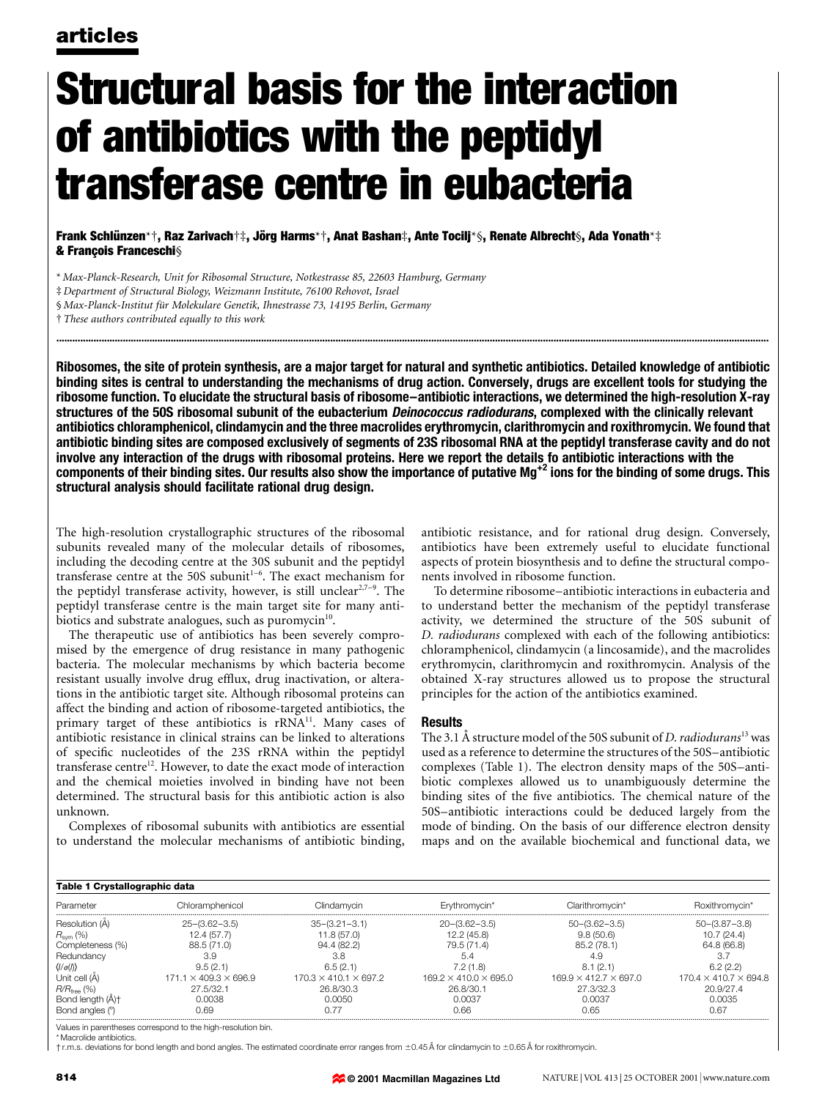# Structural basis for the interaction of antibiotics with the peptidyl transferase centre in eubacteria

Frank Schlünzen\*†, Raz Zarivach†‡, Jörg Harms\*†, Anat Bashan‡, Ante Tocilj\*§, Renate Albrecht§, Ada Yonath\*‡ & François Franceschi§

\* Max-Planck-Research, Unit for Ribosomal Structure, Notkestrasse 85, 22603 Hamburg, Germany

§ Max-Planck-Institut für Molekulare Genetik, Ihnestrasse 73, 14195 Berlin, Germany

² These authors contributed equally to this work

Ribosomes, the site of protein synthesis, are a major target for natural and synthetic antibiotics. Detailed knowledge of antibiotic binding sites is central to understanding the mechanisms of drug action. Conversely, drugs are excellent tools for studying the ribosome function. To elucidate the structural basis of ribosome-antibiotic interactions, we determined the high-resolution X-ray structures of the 50S ribosomal subunit of the eubacterium *Deinococcus radiodurans*, complexed with the clinically relevant antibiotics chloramphenicol, clindamycin and the three macrolides erythromycin, clarithromycin and roxithromycin. We found that antibiotic binding sites are composed exclusively of segments of 23S ribosomal RNA at the peptidyl transferase cavity and do not involve any interaction of the drugs with ribosomal proteins. Here we report the details fo antibiotic interactions with the components of their binding sites. Our results also show the importance of putative Mg<sup>+2</sup> ions for the binding of some drugs. This structural analysis should facilitate rational drug design.

............................................................................................................................................................................................................................................................................

The high-resolution crystallographic structures of the ribosomal subunits revealed many of the molecular details of ribosomes, including the decoding centre at the 30S subunit and the peptidyl transferase centre at the 50S subunit<sup>1-6</sup>. The exact mechanism for the peptidyl transferase activity, however, is still unclear<sup>2,7-9</sup>. The peptidyl transferase centre is the main target site for many antibiotics and substrate analogues, such as puromycin<sup>10</sup>.

The therapeutic use of antibiotics has been severely compromised by the emergence of drug resistance in many pathogenic bacteria. The molecular mechanisms by which bacteria become resistant usually involve drug efflux, drug inactivation, or alterations in the antibiotic target site. Although ribosomal proteins can affect the binding and action of ribosome-targeted antibiotics, the primary target of these antibiotics is rRNA<sup>11</sup>. Many cases of antibiotic resistance in clinical strains can be linked to alterations of specific nucleotides of the 23S rRNA within the peptidyl transferase centre<sup>12</sup>. However, to date the exact mode of interaction and the chemical moieties involved in binding have not been determined. The structural basis for this antibiotic action is also unknown.

Complexes of ribosomal subunits with antibiotics are essential to understand the molecular mechanisms of antibiotic binding,

antibiotic resistance, and for rational drug design. Conversely, antibiotics have been extremely useful to elucidate functional aspects of protein biosynthesis and to define the structural components involved in ribosome function.

To determine ribosome–antibiotic interactions in eubacteria and to understand better the mechanism of the peptidyl transferase activity, we determined the structure of the 50S subunit of D. radiodurans complexed with each of the following antibiotics: chloramphenicol, clindamycin (a lincosamide), and the macrolides erythromycin, clarithromycin and roxithromycin. Analysis of the obtained X-ray structures allowed us to propose the structural principles for the action of the antibiotics examined.

### Results

The 3.1 Å structure model of the 50S subunit of D. radiodurans<sup>13</sup> was used as a reference to determine the structures of the 50S-antibiotic complexes (Table 1). The electron density maps of the 50S-antibiotic complexes allowed us to unambiguously determine the binding sites of the five antibiotics. The chemical nature of the 50S-antibiotic interactions could be deduced largely from the mode of binding. On the basis of our difference electron density maps and on the available biochemical and functional data, we

| Table 1 Crystallographic data |                                   |                                   |                                   |                                   |                                   |
|-------------------------------|-----------------------------------|-----------------------------------|-----------------------------------|-----------------------------------|-----------------------------------|
| Parameter                     | Chloramphenicol                   | Clindamvcin                       | Erythromycin*                     | Clarithromycin <sup>*</sup>       | Roxithromycin*                    |
| Resolution (A)                | $25 - (3.62 - 3.5)$               | $35 - (3.21 - 3.1)$               | $20 - (3.62 - 3.5)$               | $50 - (3.62 - 3.5)$               | $50 - (3.87 - 3.8)$               |
| $R_{sym}$ (%)                 | 12.4 (57.7)                       | 11.8 (57.0)                       | 12.2 (45.8)                       | 9.8(50.6)                         | 10.7(24.4)                        |
| Completeness (%)              | 88.5 (71.0)                       | 94.4 (82.2)                       | 79.5 (71.4)                       | 85.2 (78.1)                       | 64.8 (66.8)                       |
| Redundancy                    | 3.9                               | 3.8                               | 5.4                               | 4.9                               |                                   |
| $\langle$ // $\sigma$ (/)     | 9.5(2.1)                          | 6.5(2.1)                          | 7.2(1.8)                          | 8.1(2.1)                          | 6.2(2.2)                          |
| Unit cell (A)                 | $171.1 \times 409.3 \times 696.9$ | $170.3 \times 410.1 \times 697.2$ | $169.2 \times 410.0 \times 695.0$ | $169.9 \times 412.7 \times 697.0$ | $170.4 \times 410.7 \times 694.8$ |
| $R/R_{\text{free}}$ (%)       | 27.5/32.1                         | 26.8/30.3                         | 26.8/30.1                         | 27.3/32.3                         | 20.9/27.4                         |
| Bond length (A)+              | 0.0038                            | 0.0050                            | 0.0037                            | 0.0037                            | 0.0035                            |
| Bond angles (°                | N 69                              | N 77                              | 0.66                              | 0.65                              | 0.67                              |

Values in parentheses correspond to the high-resolution bin.

\* Macrolide antibiotics.

 $\dagger$ r.m.s. deviations for bond length and bond angles. The estimated coordinate error ranges from ±0.45 Å for clindamycin to ±0.65 Å for roxithromycin.

³ Department of Structural Biology, Weizmann Institute, 76100 Rehovot, Israel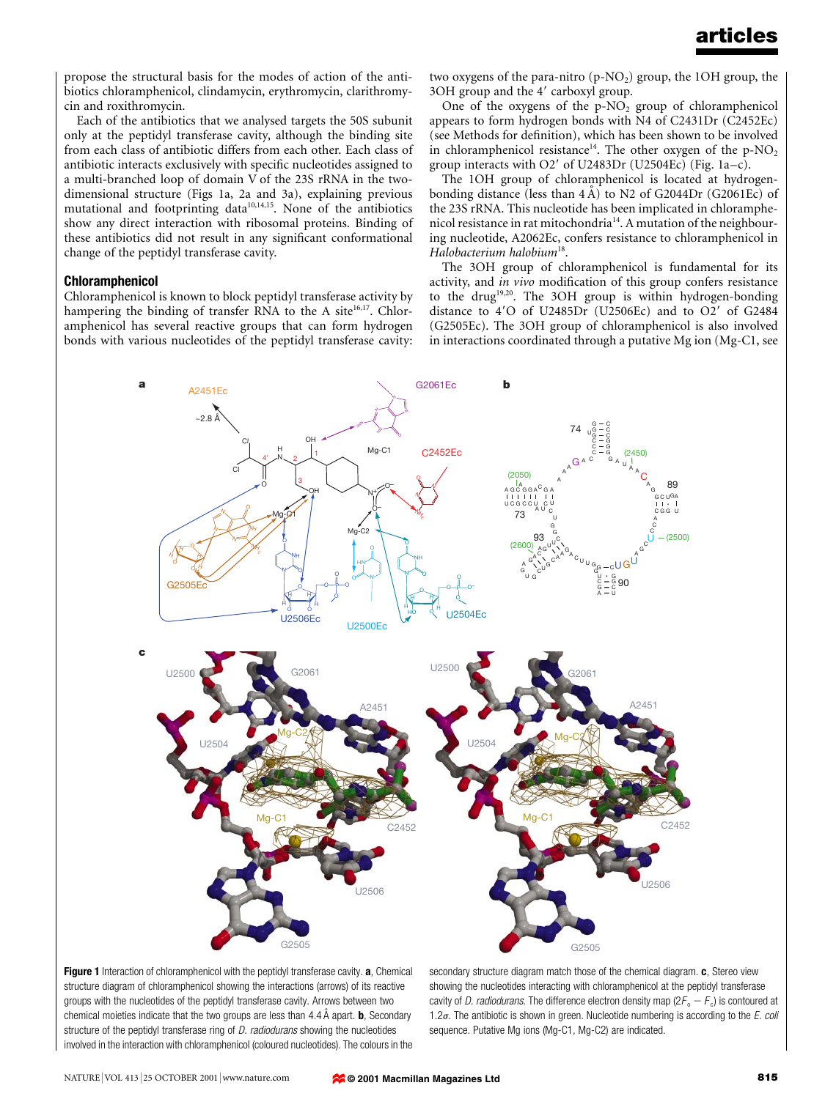propose the structural basis for the modes of action of the antibiotics chloramphenicol, clindamycin, erythromycin, clarithromycin and roxithromycin.

Each of the antibiotics that we analysed targets the 50S subunit only at the peptidyl transferase cavity, although the binding site from each class of antibiotic differs from each other. Each class of antibiotic interacts exclusively with specific nucleotides assigned to a multi-branched loop of domain V of the 23S rRNA in the twodimensional structure (Figs 1a, 2a and 3a), explaining previous mutational and footprinting data $10,14,15$ . None of the antibiotics show any direct interaction with ribosomal proteins. Binding of these antibiotics did not result in any significant conformational change of the peptidyl transferase cavity.

### Chloramphenicol

Chloramphenicol is known to block peptidyl transferase activity by hampering the binding of transfer RNA to the A site $16,17$ . Chloramphenicol has several reactive groups that can form hydrogen bonds with various nucleotides of the peptidyl transferase cavity: two oxygens of the para-nitro  $(p-NO<sub>2</sub>)$  group, the 1OH group, the 3OH group and the 4' carboxyl group.

One of the oxygens of the  $p-NO<sub>2</sub>$  group of chloramphenicol appears to form hydrogen bonds with N4 of C2431Dr (C2452Ec) (see Methods for definition), which has been shown to be involved in chloramphenicol resistance<sup>14</sup>. The other oxygen of the p-NO<sub>2</sub> group interacts with  $O2'$  of U2483Dr (U2504Ec) (Fig. 1a-c).

The 1OH group of chloramphenicol is located at hydrogenbonding distance (less than  $4 \text{ Å}$ ) to N2 of G2044Dr (G2061Ec) of the 23S rRNA. This nucleotide has been implicated in chloramphenicol resistance in rat mitochondria<sup>14</sup>. A mutation of the neighbouring nucleotide, A2062Ec, confers resistance to chloramphenicol in Halobacterium halobium<sup>18</sup>.

The 3OH group of chloramphenicol is fundamental for its activity, and in vivo modification of this group confers resistance to the drug19,20. The 3OH group is within hydrogen-bonding distance to  $4'O$  of U2485Dr (U2506Ec) and to  $O2'$  of G2484 (G2505Ec). The 3OH group of chloramphenicol is also involved in interactions coordinated through a putative Mg ion (Mg-C1, see



Figure 1 Interaction of chloramphenicol with the peptidyl transferase cavity. a, Chemical structure diagram of chloramphenicol showing the interactions (arrows) of its reactive groups with the nucleotides of the peptidyl transferase cavity. Arrows between two chemical moieties indicate that the two groups are less than  $4.4\text{ Å}$  apart. **b**, Secondary structure of the peptidyl transferase ring of *D. radiodurans* showing the nucleotides involved in the interaction with chloramphenicol (coloured nucleotides). The colours in the

secondary structure diagram match those of the chemical diagram. c, Stereo view showing the nucleotides interacting with chloramphenicol at the peptidyl transferase cavity of *D. radiodurans*. The difference electron density map  $(2F_0 - F_0)$  is contoured at 1.2 $\sigma$ . The antibiotic is shown in green. Nucleotide numbering is according to the E. coli sequence. Putative Mg ions (Mg-C1, Mg-C2) are indicated.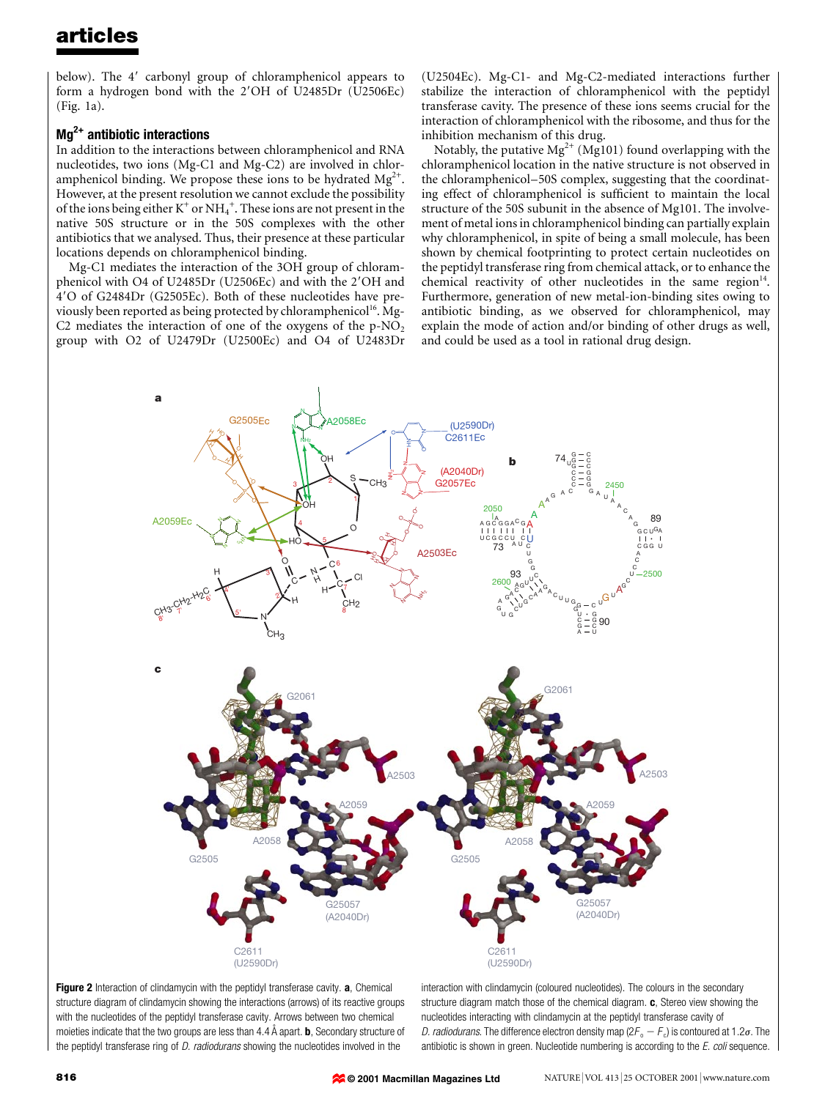below). The 4' carbonyl group of chloramphenicol appears to form a hydrogen bond with the 2'OH of U2485Dr (U2506Ec) (Fig. 1a).

### Mg<sup>2+</sup> antibiotic interactions

In addition to the interactions between chloramphenicol and RNA nucleotides, two ions (Mg-C1 and Mg-C2) are involved in chloramphenicol binding. We propose these ions to be hydrated  $Mg^{2+}$ . However, at the present resolution we cannot exclude the possibility of the ions being either  $\mathrm{K}^+$  or  $\mathrm{NH}_4^+$ . These ions are not present in the native 50S structure or in the 50S complexes with the other antibiotics that we analysed. Thus, their presence at these particular locations depends on chloramphenicol binding.

Mg-C1 mediates the interaction of the 3OH group of chloramphenicol with O4 of U2485Dr (U2506Ec) and with the 2'OH and 49O of G2484Dr (G2505Ec). Both of these nucleotides have previously been reported as being protected by chloramphenicol<sup>16</sup>. Mg-C2 mediates the interaction of one of the oxygens of the  $p-NO<sub>2</sub>$ group with O2 of U2479Dr (U2500Ec) and O4 of U2483Dr (U2504Ec). Mg-C1- and Mg-C2-mediated interactions further stabilize the interaction of chloramphenicol with the peptidyl transferase cavity. The presence of these ions seems crucial for the interaction of chloramphenicol with the ribosome, and thus for the inhibition mechanism of this drug.

Notably, the putative  $Mg^{2+} (Mg101)$  found overlapping with the chloramphenicol location in the native structure is not observed in the chloramphenicol–50S complex, suggesting that the coordinating effect of chloramphenicol is sufficient to maintain the local structure of the 50S subunit in the absence of Mg101. The involvement of metal ions in chloramphenicol binding can partially explain why chloramphenicol, in spite of being a small molecule, has been shown by chemical footprinting to protect certain nucleotides on the peptidyl transferase ring from chemical attack, or to enhance the chemical reactivity of other nucleotides in the same region $14$ . Furthermore, generation of new metal-ion-binding sites owing to antibiotic binding, as we observed for chloramphenicol, may explain the mode of action and/or binding of other drugs as well, and could be used as a tool in rational drug design.





interaction with clindamycin (coloured nucleotides). The colours in the secondary structure diagram match those of the chemical diagram.  $\mathbf{c}$ , Stereo view showing the nucleotides interacting with clindamycin at the peptidyl transferase cavity of D. radiodurans. The difference electron density map ( $2F_o - F_c$ ) is contoured at 1.2 $\sigma$ . The antibiotic is shown in green. Nucleotide numbering is according to the E. coli sequence.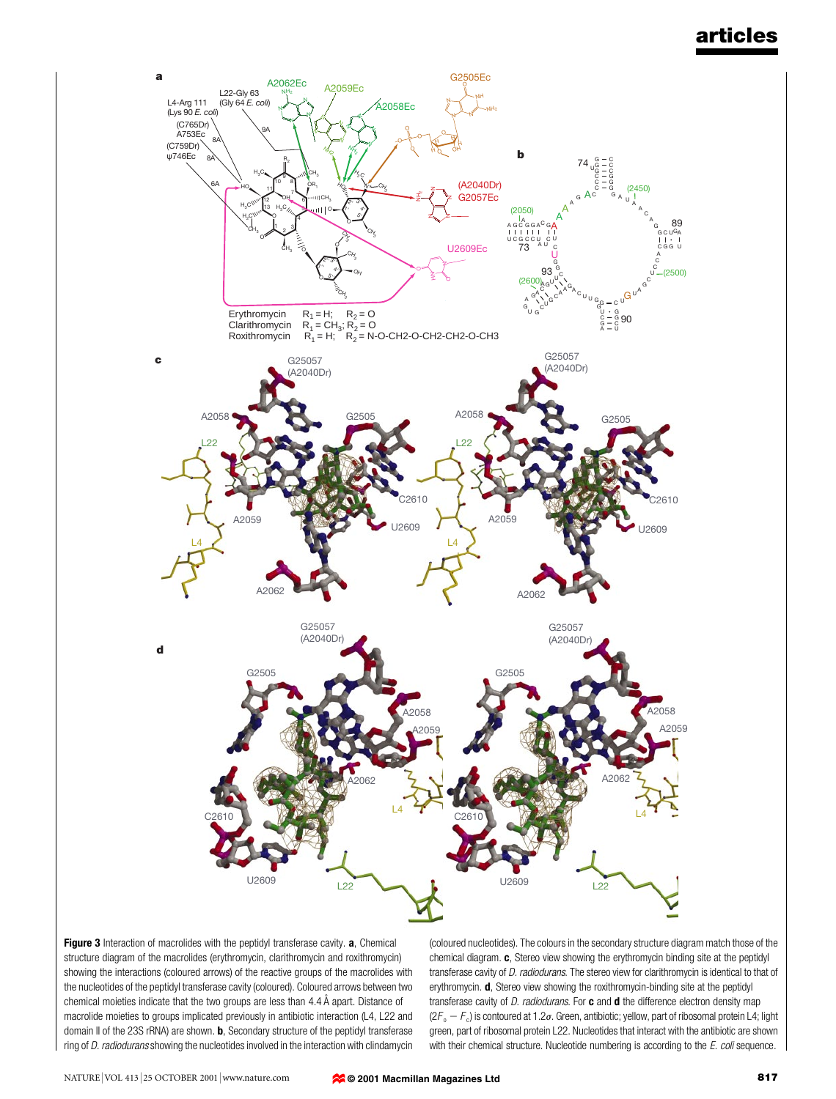

Figure 3 Interaction of macrolides with the peptidyl transferase cavity. a, Chemical structure diagram of the macrolides (erythromycin, clarithromycin and roxithromycin) showing the interactions (coloured arrows) of the reactive groups of the macrolides with the nucleotides of the peptidyl transferase cavity (coloured). Coloured arrows between two chemical moieties indicate that the two groups are less than  $4.4\text{ Å}$  apart. Distance of macrolide moieties to groups implicated previously in antibiotic interaction (L4, L22 and domain II of the 23S rRNA) are shown. **b**, Secondary structure of the peptidyl transferase ring of D. radiodurans showing the nucleotides involved in the interaction with clindamycin

(coloured nucleotides). The colours in the secondary structure diagram match those of the chemical diagram. c, Stereo view showing the erythromycin binding site at the peptidyl transferase cavity of D. radiodurans. The stereo view for clarithromycin is identical to that of erythromycin. d, Stereo view showing the roxithromycin-binding site at the peptidyl transferase cavity of  $D.$  radiodurans. For  $c$  and  $d$  the difference electron density map  $(2F_o - F_c)$  is contoured at 1.2 $\sigma$ . Green, antibiotic; yellow, part of ribosomal protein L4; light green, part of ribosomal protein L22. Nucleotides that interact with the antibiotic are shown with their chemical structure. Nucleotide numbering is according to the  $E$ . coli sequence.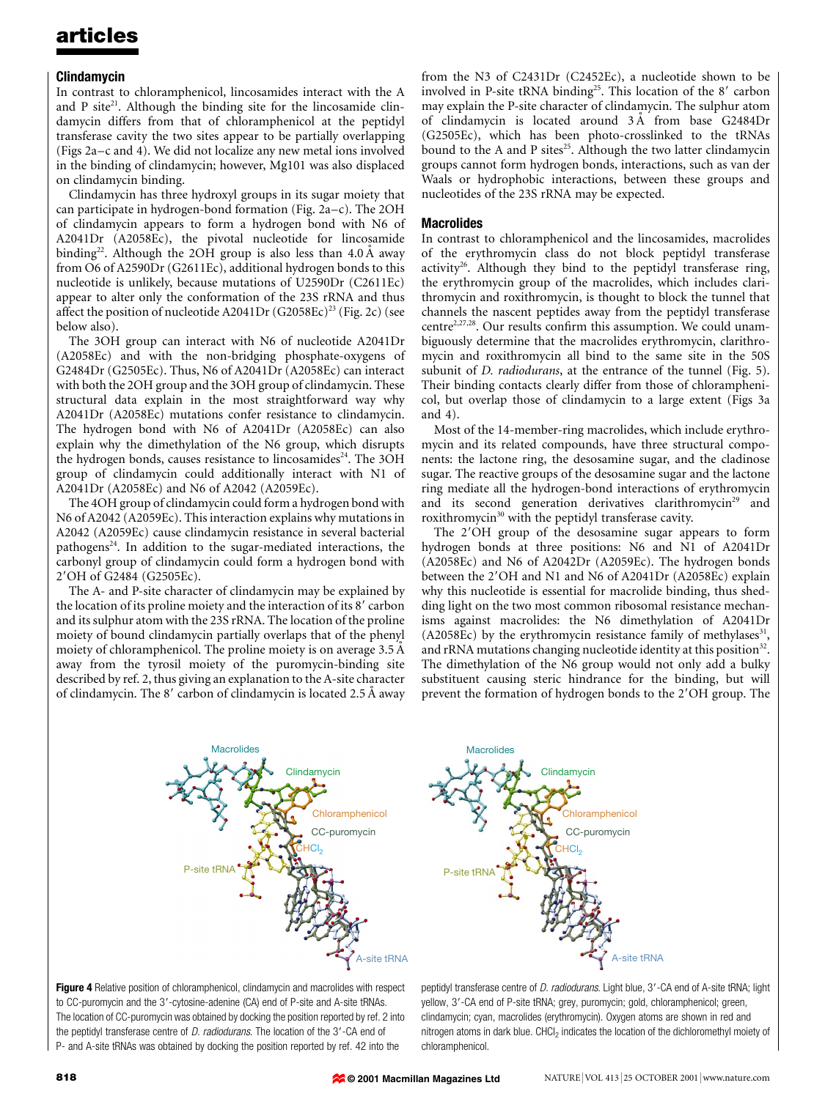### Clindamycin

In contrast to chloramphenicol, lincosamides interact with the A and P site $21$ . Although the binding site for the lincosamide clindamycin differs from that of chloramphenicol at the peptidyl transferase cavity the two sites appear to be partially overlapping (Figs  $2a-c$  and 4). We did not localize any new metal ions involved in the binding of clindamycin; however, Mg101 was also displaced on clindamycin binding.

Clindamycin has three hydroxyl groups in its sugar moiety that can participate in hydrogen-bond formation (Fig. 2a $-c$ ). The 2OH of clindamycin appears to form a hydrogen bond with N6 of A2041Dr (A2058Ec), the pivotal nucleotide for lincosamide binding<sup>22</sup>. Although the 2OH group is also less than  $4.0 \text{ Å}$  away from O6 of A2590Dr (G2611Ec), additional hydrogen bonds to this nucleotide is unlikely, because mutations of U2590Dr (C2611Ec) appear to alter only the conformation of the 23S rRNA and thus affect the position of nucleotide A2041Dr  $(G2058Ec)^{23}$  (Fig. 2c) (see below also).

The 3OH group can interact with N6 of nucleotide A2041Dr (A2058Ec) and with the non-bridging phosphate-oxygens of G2484Dr (G2505Ec). Thus, N6 of A2041Dr (A2058Ec) can interact with both the 2OH group and the 3OH group of clindamycin. These structural data explain in the most straightforward way why A2041Dr (A2058Ec) mutations confer resistance to clindamycin. The hydrogen bond with N6 of A2041Dr (A2058Ec) can also explain why the dimethylation of the N6 group, which disrupts the hydrogen bonds, causes resistance to lincosamides<sup>24</sup>. The 3OH group of clindamycin could additionally interact with N1 of A2041Dr (A2058Ec) and N6 of A2042 (A2059Ec).

The 4OH group of clindamycin could form a hydrogen bond with N6 of A2042 (A2059Ec). This interaction explains why mutations in A2042 (A2059Ec) cause clindamycin resistance in several bacterial pathogens $24$ . In addition to the sugar-mediated interactions, the carbonyl group of clindamycin could form a hydrogen bond with 2'OH of G2484 (G2505Ec).

The A- and P-site character of clindamycin may be explained by the location of its proline moiety and the interaction of its  $8'$  carbon and its sulphur atom with the 23S rRNA. The location of the proline moiety of bound clindamycin partially overlaps that of the phenyl moiety of chloramphenicol. The proline moiety is on average  $3.5 \text{ Å}$ away from the tyrosil moiety of the puromycin-binding site described by ref. 2, thus giving an explanation to the A-site character of clindamycin. The  $8'$  carbon of clindamycin is located 2.5 Å away from the N3 of C2431Dr (C2452Ec), a nucleotide shown to be involved in P-site tRNA binding<sup>25</sup>. This location of the  $8'$  carbon may explain the P-site character of clindamycin. The sulphur atom of clindamycin is located around 3 Å from base G2484Dr (G2505Ec), which has been photo-crosslinked to the tRNAs bound to the A and P sites<sup>25</sup>. Although the two latter clindamycin groups cannot form hydrogen bonds, interactions, such as van der Waals or hydrophobic interactions, between these groups and nucleotides of the 23S rRNA may be expected.

### **Macrolides**

In contrast to chloramphenicol and the lincosamides, macrolides of the erythromycin class do not block peptidyl transferase activity<sup>26</sup>. Although they bind to the peptidyl transferase ring, the erythromycin group of the macrolides, which includes clarithromycin and roxithromycin, is thought to block the tunnel that channels the nascent peptides away from the peptidyl transferase centre<sup>2,27,28</sup>. Our results confirm this assumption. We could unambiguously determine that the macrolides erythromycin, clarithromycin and roxithromycin all bind to the same site in the 50S subunit of *D. radiodurans*, at the entrance of the tunnel (Fig. 5). Their binding contacts clearly differ from those of chloramphenicol, but overlap those of clindamycin to a large extent (Figs 3a and 4).

Most of the 14-member-ring macrolides, which include erythromycin and its related compounds, have three structural components: the lactone ring, the desosamine sugar, and the cladinose sugar. The reactive groups of the desosamine sugar and the lactone ring mediate all the hydrogen-bond interactions of erythromycin and its second generation derivatives clarithromycin<sup>29</sup> and roxithromycin<sup>30</sup> with the peptidyl transferase cavity.

The 2'OH group of the desosamine sugar appears to form hydrogen bonds at three positions: N6 and N1 of A2041Dr (A2058Ec) and N6 of A2042Dr (A2059Ec). The hydrogen bonds between the 2'OH and N1 and N6 of A2041Dr (A2058Ec) explain why this nucleotide is essential for macrolide binding, thus shedding light on the two most common ribosomal resistance mechanisms against macrolides: the N6 dimethylation of A2041Dr (A2058Ec) by the erythromycin resistance family of methylases $31$ and rRNA mutations changing nucleotide identity at this position<sup>32</sup>. The dimethylation of the N6 group would not only add a bulky substituent causing steric hindrance for the binding, but will prevent the formation of hydrogen bonds to the 2'OH group. The



Figure 4 Relative position of chloramphenicol, clindamycin and macrolides with respect to CC-puromycin and the 3'-cytosine-adenine (CA) end of P-site and A-site tRNAs. The location of CC-puromycin was obtained by docking the position reported by ref. 2 into the peptidyl transferase centre of  $D.$  radiodurans. The location of the  $3'$ -CA end of P- and A-site tRNAs was obtained by docking the position reported by ref. 42 into the

peptidyl transferase centre of D. radiodurans. Light blue, 3'-CA end of A-site tRNA; light yellow, 3'-CA end of P-site tRNA; grey, puromycin; gold, chloramphenicol; green, clindamycin; cyan, macrolides (erythromycin). Oxygen atoms are shown in red and nitrogen atoms in dark blue. CHCl<sub>2</sub> indicates the location of the dichloromethyl moiety of chloramphenicol.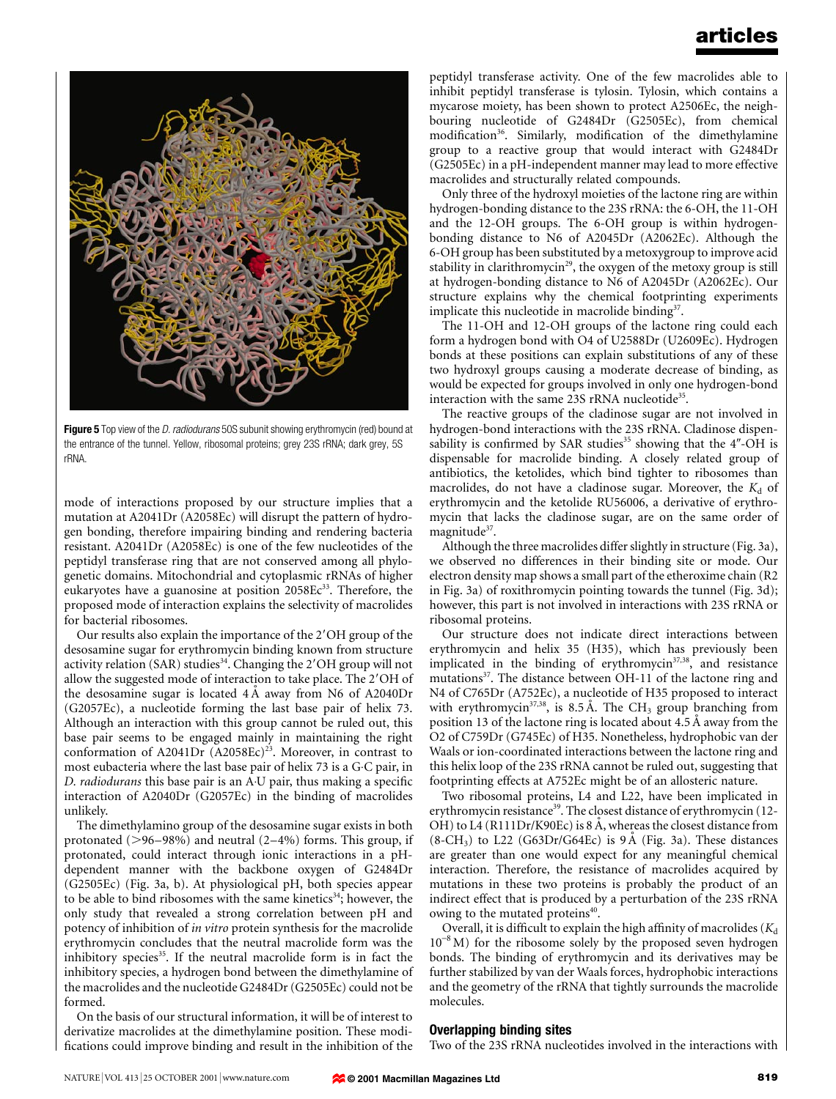

Figure 5 Top view of the D. radiodurans 50S subunit showing erythromycin (red) bound at the entrance of the tunnel. Yellow, ribosomal proteins; grey 23S rRNA; dark grey, 5S rRNA.

mode of interactions proposed by our structure implies that a mutation at A2041Dr (A2058Ec) will disrupt the pattern of hydrogen bonding, therefore impairing binding and rendering bacteria resistant. A2041Dr (A2058Ec) is one of the few nucleotides of the peptidyl transferase ring that are not conserved among all phylogenetic domains. Mitochondrial and cytoplasmic rRNAs of higher eukaryotes have a guanosine at position 2058Ec<sup>33</sup>. Therefore, the proposed mode of interaction explains the selectivity of macrolides for bacterial ribosomes.

Our results also explain the importance of the 2'OH group of the desosamine sugar for erythromycin binding known from structure activity relation (SAR) studies<sup>34</sup>. Changing the  $2'OH$  group will not allow the suggested mode of interaction to take place. The 2'OH of the desosamine sugar is located  $4\text{ Å}$  away from N6 of A2040Dr (G2057Ec), a nucleotide forming the last base pair of helix 73. Although an interaction with this group cannot be ruled out, this base pair seems to be engaged mainly in maintaining the right conformation of A2041Dr  $(A2058Ec)^{23}$ . Moreover, in contrast to most eubacteria where the last base pair of helix 73 is a G·C pair, in D. radiodurans this base pair is an A<sup>-</sup>U pair, thus making a specific interaction of A2040Dr (G2057Ec) in the binding of macrolides unlikely.

The dimethylamino group of the desosamine sugar exists in both protonated  $(>96-98%)$  and neutral  $(2-4%)$  forms. This group, if protonated, could interact through ionic interactions in a pHdependent manner with the backbone oxygen of G2484Dr (G2505Ec) (Fig. 3a, b). At physiological pH, both species appear to be able to bind ribosomes with the same kinetics<sup>34</sup>; however, the only study that revealed a strong correlation between pH and potency of inhibition of in vitro protein synthesis for the macrolide erythromycin concludes that the neutral macrolide form was the inhibitory species<sup>35</sup>. If the neutral macrolide form is in fact the inhibitory species, a hydrogen bond between the dimethylamine of the macrolides and the nucleotide G2484Dr (G2505Ec) could not be formed.

On the basis of our structural information, it will be of interest to derivatize macrolides at the dimethylamine position. These modi fications could improve binding and result in the inhibition of the peptidyl transferase activity. One of the few macrolides able to inhibit peptidyl transferase is tylosin. Tylosin, which contains a mycarose moiety, has been shown to protect A2506Ec, the neighbouring nucleotide of G2484Dr (G2505Ec), from chemical modification<sup>36</sup>. Similarly, modification of the dimethylamine group to a reactive group that would interact with G2484Dr (G2505Ec) in a pH-independent manner may lead to more effective macrolides and structurally related compounds.

Only three of the hydroxyl moieties of the lactone ring are within hydrogen-bonding distance to the 23S rRNA: the 6-OH, the 11-OH and the 12-OH groups. The 6-OH group is within hydrogenbonding distance to N6 of A2045Dr (A2062Ec). Although the 6-OH group has been substituted by a metoxygroup to improve acid stability in clarithromycin<sup>29</sup>, the oxygen of the metoxy group is still at hydrogen-bonding distance to N6 of A2045Dr (A2062Ec). Our structure explains why the chemical footprinting experiments implicate this nucleotide in macrolide binding<sup>37</sup>.

The 11-OH and 12-OH groups of the lactone ring could each form a hydrogen bond with O4 of U2588Dr (U2609Ec). Hydrogen bonds at these positions can explain substitutions of any of these two hydroxyl groups causing a moderate decrease of binding, as would be expected for groups involved in only one hydrogen-bond interaction with the same 23S rRNA nucleotide<sup>35</sup>.

The reactive groups of the cladinose sugar are not involved in hydrogen-bond interactions with the 23S rRNA. Cladinose dispensability is confirmed by SAR studies<sup>35</sup> showing that the 4"-OH is dispensable for macrolide binding. A closely related group of antibiotics, the ketolides, which bind tighter to ribosomes than macrolides, do not have a cladinose sugar. Moreover, the  $K_d$  of erythromycin and the ketolide RU56006, a derivative of erythromycin that lacks the cladinose sugar, are on the same order of magnitude<sup>37</sup>.

Although the three macrolides differ slightly in structure (Fig. 3a), we observed no differences in their binding site or mode. Our electron density map shows a small part of the etheroxime chain (R2 in Fig. 3a) of roxithromycin pointing towards the tunnel (Fig. 3d); however, this part is not involved in interactions with 23S rRNA or ribosomal proteins.

Our structure does not indicate direct interactions between erythromycin and helix 35 (H35), which has previously been implicated in the binding of erythromycin $37,38$ , and resistance mutations<sup>37</sup>. The distance between OH-11 of the lactone ring and N4 of C765Dr (A752Ec), a nucleotide of H35 proposed to interact with erythromycin<sup>37,38</sup>, is 8.5 Å. The CH<sub>3</sub> group branching from position 13 of the lactone ring is located about  $4.5 \text{ Å}$  away from the O2 of C759Dr (G745Ec) of H35. Nonetheless, hydrophobic van der Waals or ion-coordinated interactions between the lactone ring and this helix loop of the 23S rRNA cannot be ruled out, suggesting that footprinting effects at A752Ec might be of an allosteric nature.

Two ribosomal proteins, L4 and L22, have been implicated in erythromycin resistance<sup>39</sup>. The closest distance of erythromycin (12-OH) to L4 (R111Dr/K90Ec) is 8 A, whereas the closest distance from  $(8\text{-}CH_3)$  to L22 (G63Dr/G64Ec) is 9 Å (Fig. 3a). These distances are greater than one would expect for any meaningful chemical interaction. Therefore, the resistance of macrolides acquired by mutations in these two proteins is probably the product of an indirect effect that is produced by a perturbation of the 23S rRNA owing to the mutated proteins<sup>40</sup>.

Overall, it is difficult to explain the high affinity of macrolides ( $K_d$  $10^{-8}$  M) for the ribosome solely by the proposed seven hydrogen bonds. The binding of erythromycin and its derivatives may be further stabilized by van der Waals forces, hydrophobic interactions and the geometry of the rRNA that tightly surrounds the macrolide molecules.

### Overlapping binding sites

Two of the 23S rRNA nucleotides involved in the interactions with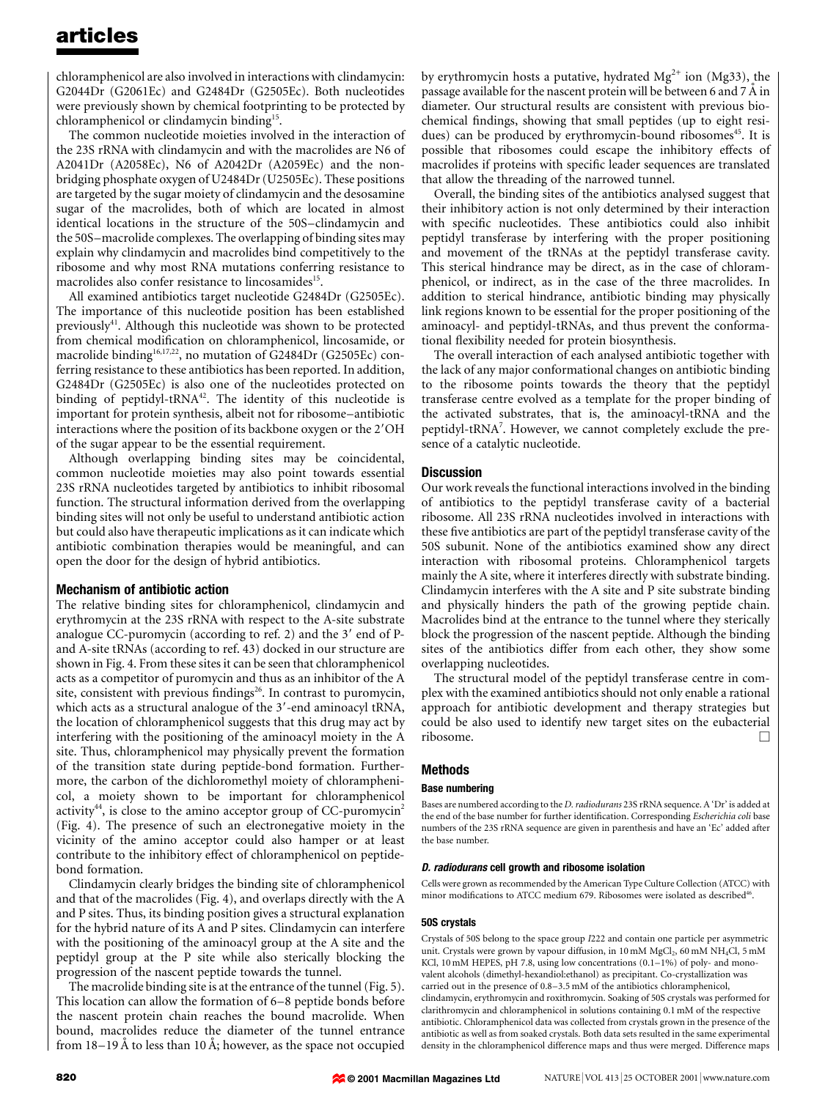chloramphenicol are also involved in interactions with clindamycin: G2044Dr (G2061Ec) and G2484Dr (G2505Ec). Both nucleotides were previously shown by chemical footprinting to be protected by chloramphenicol or clindamycin binding15.

The common nucleotide moieties involved in the interaction of the 23S rRNA with clindamycin and with the macrolides are N6 of A2041Dr (A2058Ec), N6 of A2042Dr (A2059Ec) and the nonbridging phosphate oxygen of U2484Dr (U2505Ec). These positions are targeted by the sugar moiety of clindamycin and the desosamine sugar of the macrolides, both of which are located in almost identical locations in the structure of the 50S-clindamycin and the 50S-macrolide complexes. The overlapping of binding sites may explain why clindamycin and macrolides bind competitively to the ribosome and why most RNA mutations conferring resistance to macrolides also confer resistance to lincosamides<sup>15</sup>.

All examined antibiotics target nucleotide G2484Dr (G2505Ec). The importance of this nucleotide position has been established previously41. Although this nucleotide was shown to be protected from chemical modification on chloramphenicol, lincosamide, or macrolide binding<sup>16,17,22</sup>, no mutation of G2484Dr (G2505Ec) conferring resistance to these antibiotics has been reported. In addition, G2484Dr (G2505Ec) is also one of the nucleotides protected on binding of peptidyl- $tRNA<sup>42</sup>$ . The identity of this nucleotide is important for protein synthesis, albeit not for ribosome-antibiotic interactions where the position of its backbone oxygen or the 2'OH of the sugar appear to be the essential requirement.

Although overlapping binding sites may be coincidental, common nucleotide moieties may also point towards essential 23S rRNA nucleotides targeted by antibiotics to inhibit ribosomal function. The structural information derived from the overlapping binding sites will not only be useful to understand antibiotic action but could also have therapeutic implications as it can indicate which antibiotic combination therapies would be meaningful, and can open the door for the design of hybrid antibiotics.

### Mechanism of antibiotic action

The relative binding sites for chloramphenicol, clindamycin and erythromycin at the 23S rRNA with respect to the A-site substrate analogue CC-puromycin (according to ref. 2) and the  $3'$  end of Pand A-site tRNAs (according to ref. 43) docked in our structure are shown in Fig. 4. From these sites it can be seen that chloramphenicol acts as a competitor of puromycin and thus as an inhibitor of the A site, consistent with previous findings<sup>26</sup>. In contrast to puromycin, which acts as a structural analogue of the 3'-end aminoacyl tRNA, the location of chloramphenicol suggests that this drug may act by interfering with the positioning of the aminoacyl moiety in the A site. Thus, chloramphenicol may physically prevent the formation of the transition state during peptide-bond formation. Furthermore, the carbon of the dichloromethyl moiety of chloramphenicol, a moiety shown to be important for chloramphenicol activity $44$ , is close to the amino acceptor group of CC-puromycin<sup>2</sup> (Fig. 4). The presence of such an electronegative moiety in the vicinity of the amino acceptor could also hamper or at least contribute to the inhibitory effect of chloramphenicol on peptidebond formation.

Clindamycin clearly bridges the binding site of chloramphenicol and that of the macrolides (Fig. 4), and overlaps directly with the A and P sites. Thus, its binding position gives a structural explanation for the hybrid nature of its A and P sites. Clindamycin can interfere with the positioning of the aminoacyl group at the A site and the peptidyl group at the P site while also sterically blocking the progression of the nascent peptide towards the tunnel.

The macrolide binding site is at the entrance of the tunnel (Fig. 5). This location can allow the formation of  $6-8$  peptide bonds before the nascent protein chain reaches the bound macrolide. When bound, macrolides reduce the diameter of the tunnel entrance from  $18-19$  Å to less than 10 Å; however, as the space not occupied by erythromycin hosts a putative, hydrated  $Mg^{2+}$  ion (Mg33), the passage available for the nascent protein will be between 6 and 7  $\AA$  in diameter. Our structural results are consistent with previous biochemical findings, showing that small peptides (up to eight residues) can be produced by erythromycin-bound ribosomes<sup>45</sup>. It is possible that ribosomes could escape the inhibitory effects of macrolides if proteins with specific leader sequences are translated that allow the threading of the narrowed tunnel.

Overall, the binding sites of the antibiotics analysed suggest that their inhibitory action is not only determined by their interaction with specific nucleotides. These antibiotics could also inhibit peptidyl transferase by interfering with the proper positioning and movement of the tRNAs at the peptidyl transferase cavity. This sterical hindrance may be direct, as in the case of chloramphenicol, or indirect, as in the case of the three macrolides. In addition to sterical hindrance, antibiotic binding may physically link regions known to be essential for the proper positioning of the aminoacyl- and peptidyl-tRNAs, and thus prevent the conformational flexibility needed for protein biosynthesis.

The overall interaction of each analysed antibiotic together with the lack of any major conformational changes on antibiotic binding to the ribosome points towards the theory that the peptidyl transferase centre evolved as a template for the proper binding of the activated substrates, that is, the aminoacyl-tRNA and the peptidyl-tRNA<sup>7</sup>. However, we cannot completely exclude the presence of a catalytic nucleotide.

### **Discussion**

Our work reveals the functional interactions involved in the binding of antibiotics to the peptidyl transferase cavity of a bacterial ribosome. All 23S rRNA nucleotides involved in interactions with these five antibiotics are part of the peptidyl transferase cavity of the 50S subunit. None of the antibiotics examined show any direct interaction with ribosomal proteins. Chloramphenicol targets mainly the A site, where it interferes directly with substrate binding. Clindamycin interferes with the A site and P site substrate binding and physically hinders the path of the growing peptide chain. Macrolides bind at the entrance to the tunnel where they sterically block the progression of the nascent peptide. Although the binding sites of the antibiotics differ from each other, they show some overlapping nucleotides.

The structural model of the peptidyl transferase centre in complex with the examined antibiotics should not only enable a rational approach for antibiotic development and therapy strategies but could be also used to identify new target sites on the eubacterial ribosome.

### Methods

#### Base numbering

Bases are numbered according to the D. radiodurans 23S rRNA sequence. A `Dr' is added at the end of the base number for further identification. Corresponding Escherichia coli base numbers of the 23S rRNA sequence are given in parenthesis and have an `Ec' added after the base number.

#### D. radiodurans cell growth and ribosome isolation

Cells were grown as recommended by the American Type Culture Collection (ATCC) with minor modifications to ATCC medium 679. Ribosomes were isolated as described<sup>46</sup>.

### 50S crystals

Crystals of 50S belong to the space group I222 and contain one particle per asymmetric unit. Crystals were grown by vapour diffusion, in 10 mM  $MgCl<sub>2</sub>$ , 60 mM  $NH<sub>4</sub>Cl$ , 5 mM KCl, 10 mM HEPES, pH 7.8, using low concentrations  $(0.1-1\%)$  of poly- and monovalent alcohols (dimethyl-hexandiol:ethanol) as precipitant. Co-crystallization was carried out in the presence of  $0.8-3.5$  mM of the antibiotics chloramphenicol, clindamycin, erythromycin and roxithromycin. Soaking of 50S crystals was performed for clarithromycin and chloramphenicol in solutions containing 0.1 mM of the respective antibiotic. Chloramphenicol data was collected from crystals grown in the presence of the antibiotic as well as from soaked crystals. Both data sets resulted in the same experimental density in the chloramphenicol difference maps and thus were merged. Difference maps